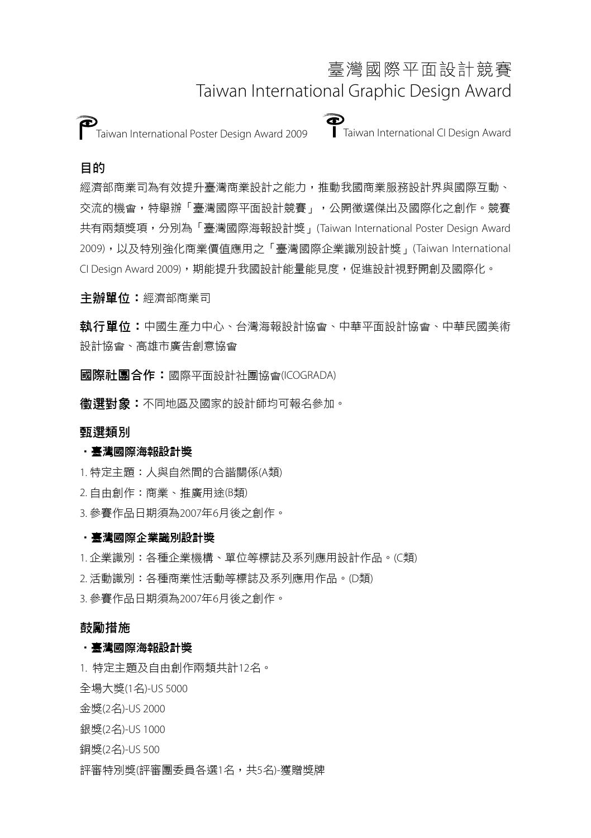# 臺灣國際平面設計競賽 Taiwan International Graphic Design Award

Taiwan International Poster Design Award 2009 Taiwan International CI Design Award

## 目的

經濟部商業司為有效提升臺灣商業設計之能力,推動我國商業服務設計界與國際互動、 交流的機會,特舉辦「臺灣國際平面設計競賽」,公開徵選傑出及國際化之創作。競賽 共有兩類獎項,分別為「臺灣國際海報設計獎」(Taiwan International Poster Design Award 2009),以及特別強化商業價值應用之「臺灣國際企業識別設計獎」(Taiwan International CI Design Award 2009), 期能提升我國設計能量能見度, 促進設計視野開創及國際化。

主辦單位:經濟部商業司

執行單位:中國生產力中心、台灣海報設計協會、中華平面設計協會、中華民國美術 設計協會、高雄市廣告創意協會

國際社團合作:國際平面設計社團協會(ICOGRADA)

徵選對象:不同地區及國家的設計師均可報名參加。

### 甄選類別

### ‧臺灣國際海報設計獎

1. 特定主題:人與自然間的合諧關係(A類)

2. 自由創作:商業、推廣用途(B類)

3. 參賽作品日期須為2007年6月後之創作。

### ‧臺灣國際企業識別設計獎

1. 企業識別:各種企業機構、單位等標誌及系列應用設計作品。(C類)

2. 活動識別:各種商業性活動等標誌及系列應用作品。(D類)

3. 參賽作品日期須為2007年6月後之創作。

### 鼓勵措施

#### ‧臺灣國際海報設計獎

1. 特定主題及自由創作兩類共計12名。

全場大獎(1名)-US 5000

金獎(2名)-US 2000

- 銀獎(2名)-US 1000
- 銅獎(2名)-US 500

評審特別獎(評審團委員各選1名,共5名)-獲贈獎牌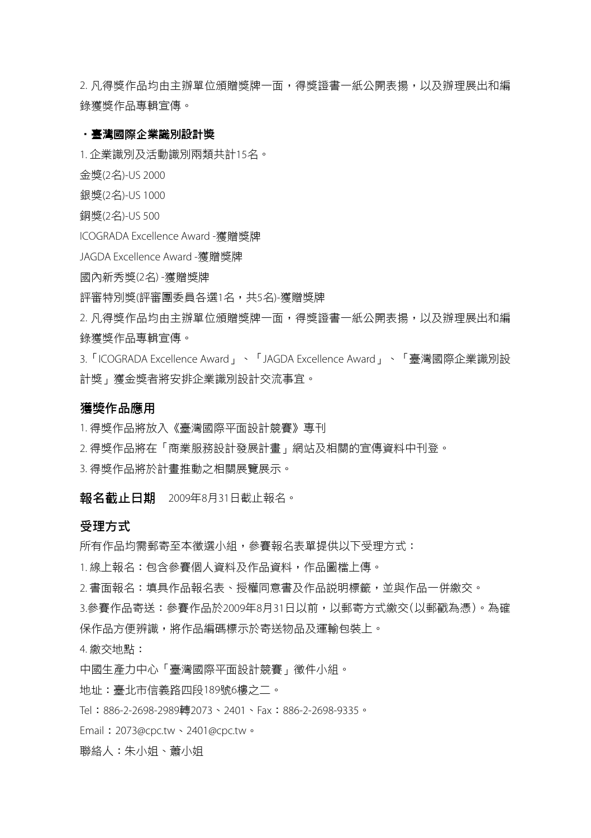2. 凡得獎作品均由主辦單位頒贈獎牌一面,得獎證書一紙公開表揚,以及辦理展出和編 錄獲獎作品專輯宣傳。

#### ‧臺灣國際企業識別設計獎

1. 企業識別及活動識別兩類共計15名。

金獎(2名)-US 2000

銀獎(2名)-US 1000

銅獎(2名)-US 500

ICOGRADA Excellence Award -獲贈獎牌

JAGDA Excellence Award -獲贈獎牌

國內新秀獎(2名) -獲贈獎牌

評審特別獎(評審團委員各選1名,共5名)-獲贈獎牌

2. 凡得獎作品均由主辦單位頒贈獎牌一面,得獎證書一紙公開表揚,以及辦理展出和編 錄獲獎作品專輯宣傳。

3.「ICOGRADA Excellence Award」、「JAGDA Excellence Award」、「臺灣國際企業識別設 計獎」獲金獎者將安排企業識別設計交流事宜。

### 獲獎作品應用

1. 得獎作品將放入《臺灣國際平面設計競賽》專刊

2. 得獎作品將在「商業服務設計發展計畫」網站及相關的宣傳資料中刊登。

3. 得獎作品將於計畫推動之相關展覽展示。

報名截止日期 2009年8月31日截止報名。

#### 受理方式

所有作品均需郵寄至本徵選小組,參賽報名表單提供以下受理方式:

1. 線上報名:包含參賽個人資料及作品資料,作品圖檔上傳。

2. 書面報名:填具作品報名表、授權同意書及作品說明標籤,並與作品一併繳交。

3.參賽作品寄送:參賽作品於2009年8月31日以前,以郵寄方式繳交(以郵戳為憑)。為確 保作品方便辨識,將作品編碼標示於寄送物品及運輸包裝上。

4. 繳交地點:

中國生產力中心「臺灣國際平面設計競賽」徵件小組。

地址:臺北市信義路四段189號6樓之二。

Tel:886-2-2698-2989轉2073、2401、Fax:886-2-2698-9335。

Email:2073@cpc.tw、2401@cpc.tw。

聯絡人:朱小姐、蕭小姐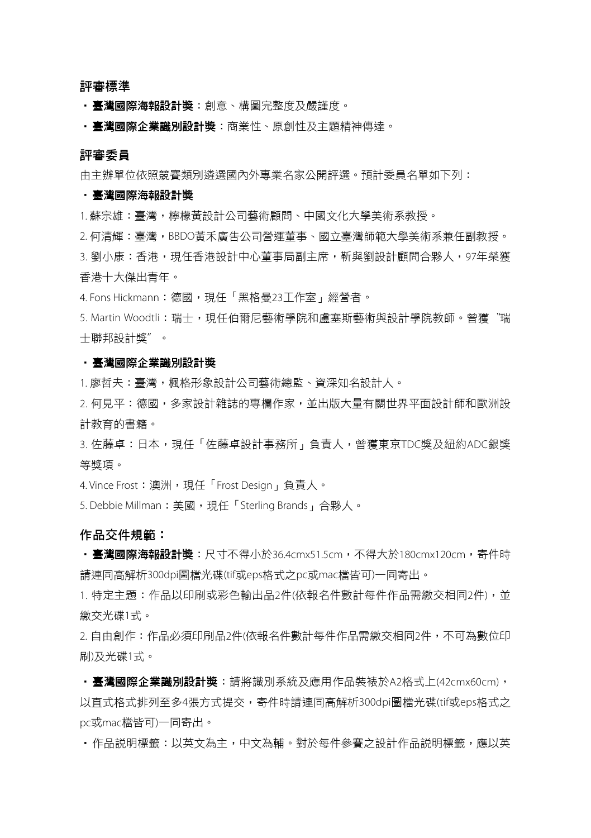評審標準

‧臺灣國際海報設計獎:創意、構圖完整度及嚴謹度。

‧臺灣國際企業識別設計獎:商業性、原創性及主題精神傳達。

#### 評審委員

由主辦單位依照競賽類別遴選國內外專業名家公開評選。預計委員名單如下列:

#### ‧臺灣國際海報設計獎

1. 蘇宗雄:臺灣,檸檬黃設計公司藝術顧問、中國文化大學美術系教授。

2. 何清輝:臺灣,BBDO黃禾廣告公司營運董事、國立臺灣師範大學美術系兼任副教授。 3. 劉小康:香港,現任香港設計中心董事局副主席,靳與劉設計顧問合夥人,97年榮獲 香港十大傑出青年。

4. Fons Hickmann: 德國,現任「黑格曼23丁作室」經營者。

5. Martin Woodtli:瑞士,現任伯爾尼藝術學院和盧塞斯藝術與設計學院教師。曾獲〝瑞 士聯邦設計獎〞。

#### ‧臺灣國際企業識別設計獎

1. 廖哲夫:臺灣,楓格形象設計公司藝術總監、資深知名設計人。

2. 何見平: 德國, 多家設計雜誌的專欄作家, 並出版大量有關世界平面設計師和歐洲設 計教育的書籍。

3. 佐藤卓:日本,現任「佐藤卓設計事務所」負責人,曾獲東京TDC獎及紐約ADC銀獎 等獎項。

4. Vince Frost:澳洲,現任「Frost Design」負責人。

5. Debbie Millman: 美國,現任「Sterling Brands」合夥人。

#### 作品交件規範:

・臺灣國際海報設計獎:尺寸不得小於36.4cmx51.5cm,不得大於180cmx120cm,寄件時 請連同高解析300dpi圖檔光碟(tif或eps格式之pc或mac檔皆可)一同寄出。

1. 特定主題:作品以印刷或彩色輸出品2件(依報名件數計每件作品需繳交相同2件), 並 繳交光碟1式。

2. 自由創作:作品必須印刷品2件(依報名件數計每件作品需繳交相同2件,不可為數位印 刷)及光碟1式。

·臺灣國際企業識別設計獎:請將識別系統及應用作品裝裱於A2格式上(42cmx60cm), 以直式格式排列至多4張方式提交,寄件時請連同高解析300dpi圖檔光碟(tif或eps格式之 pc或mac檔皆可)一同寄出。

• 作品説明標籤:以英文為主,中文為輔。對於每件參賽之設計作品説明標籤,確以英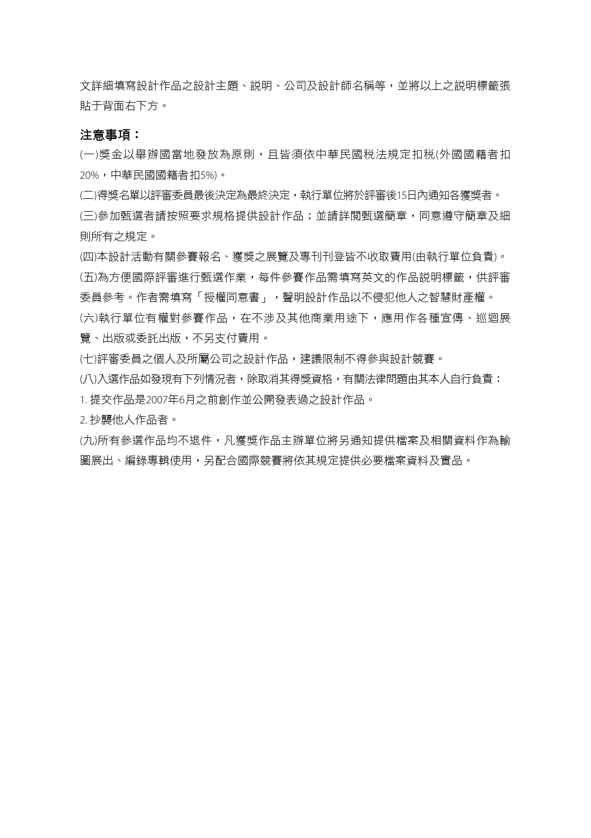文詳細填寫設計作品之說計主題、説明、公司及設計師名稱等,並將以上之説明標籤張 貼于背面右下方。

#### 注意事項:

(一)獎金以舉辦國當地發放為原則,且皆須依中華民國稅法規定扣稅(外國國籍者扣 20%,中華民國國籍者扣5%)。

(二)得獎名單以評審委員最後決定為最終決定,執行單位將於評審後15日內通知各獲獎者。

(三)參加甄選者請按照要求規格提供設計作品;並請詳閱甄選簡章,同意遵守簡章及細 則所有之規定。

(四)本設計活動有關參賽報名、獲獎之展覽及專刊刊登皆不收取費用(由執行單位負責)。 (五)為方便國際評審進行甄選作業,每件參賽作品需填寫英文的作品說明標籤,供評審 委員參考。作者需填寫「授權同意書」,聲明設計作品以不侵犯他人之智慧財產權。 (六)執行單位有權對參賽作品,在不涉及其他商業用途下,應用作各種宣傳、巡迴展 覽、出版或委託出版,不另支付費用。

(七)評審委員之個人及所屬公司之設計作品,建議限制不得參與設計競賽。

(八)入選作品如發現有下列情況者,除取消其得獎資格,有關法律問題由其本人自行負責:

1. 提交作品是2007年6月之前創作並公開發表過之設計作品。

2. 抄襲他人作品者。

(九)所有參選作品均不退件,凡獲獎作品主辦單位將另通知提供檔案及相關資料作為輸 圖展出、編錄專輯使用,另配合國際競賽將依其規定提供必要檔案資料及實品。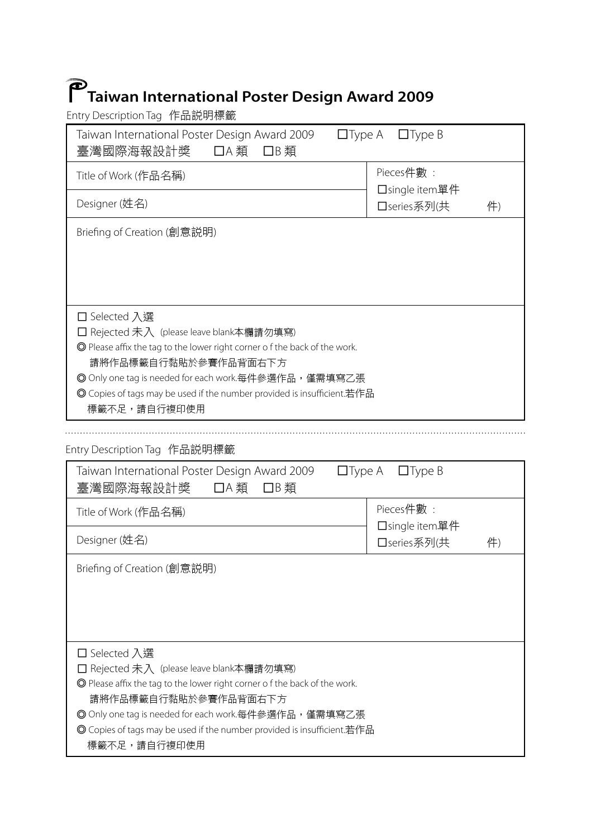# **Taiwan International Poster Design Award 2009**

Entry Description Tag 作品說明標籤

| Taiwan International Poster Design Award 2009<br>臺灣國際海報設計獎<br>□A 類<br>□B類                                                       | □Type A □Type B               |    |  |
|---------------------------------------------------------------------------------------------------------------------------------|-------------------------------|----|--|
| Title of Work (作品名稱)                                                                                                            | Pieces件數:                     |    |  |
| Designer (姓名)                                                                                                                   | □single item單件<br>□series系列(共 | 件) |  |
| Briefing of Creation (創意説明)                                                                                                     |                               |    |  |
|                                                                                                                                 |                               |    |  |
| □ Selected 入選                                                                                                                   |                               |    |  |
| □ Rejected 未入 (please leave blank本欄請勿填寫)<br>◎ Please affix the tag to the lower right corner of the back of the work.           |                               |    |  |
| 請將作品標籤自行黏貼於參賽作品背面右下方                                                                                                            |                               |    |  |
| ◎ Only one tag is needed for each work.每件參選作品,僅需填寫乙張<br>◎ Copies of tags may be used if the number provided is insufficient.若作品 |                               |    |  |
| 標籤不足,請自行複印使用                                                                                                                    |                               |    |  |
|                                                                                                                                 |                               |    |  |
|                                                                                                                                 |                               |    |  |
| Taiwan International Poster Design Award 2009<br>臺灣國際海報設計獎<br>□A 類<br>□B類                                                       | □Type A □Type B               |    |  |
| Entry Description Tag 作品説明標籤<br>Title of Work (作品名稱)                                                                            | Pieces件數:                     |    |  |
| Designer (姓名)                                                                                                                   | □single item單件<br>□series系列(共 | 件) |  |
| Briefing of Creation (創意説明)                                                                                                     |                               |    |  |
|                                                                                                                                 |                               |    |  |
|                                                                                                                                 |                               |    |  |
| □ Selected 入選                                                                                                                   |                               |    |  |
| □ Rejected 未入(please leave blank本欄請勿填寫)                                                                                         |                               |    |  |
| ◎ Please affix the tag to the lower right corner of the back of the work.                                                       |                               |    |  |
| 請將作品標籤自行黏貼於參賽作品背面右下方<br>◎ Only one tag is needed for each work.每件參選作品,僅需填寫乙張                                                    |                               |    |  |

標籤不足,請自行複印使用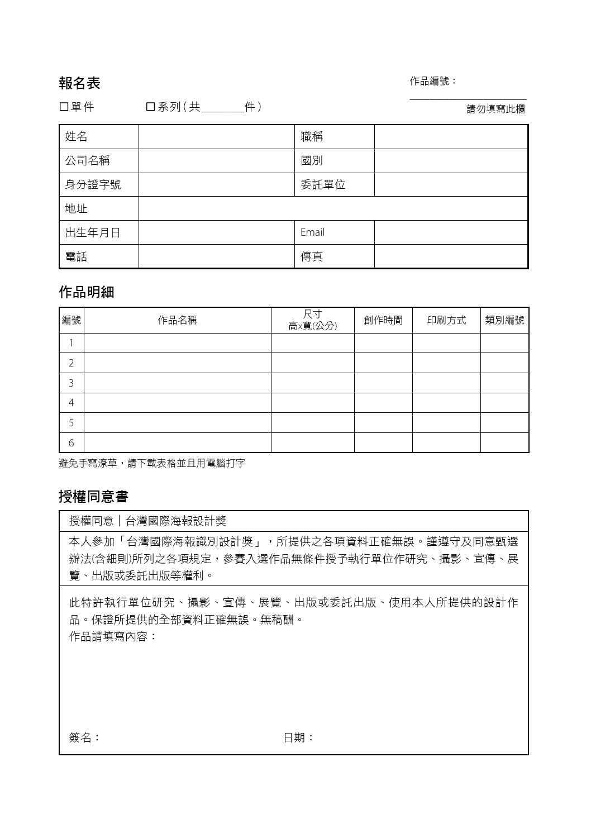## 報名表

#### 作品編號:

□單件 □系列 (共 \_\_\_\_\_\_\_\_件 ) 請勿填寫此欄

 $\_$ 

| 姓名    | 職稱    |  |
|-------|-------|--|
| 公司名稱  | 國別    |  |
| 身分證字號 | 委託單位  |  |
| 地址    |       |  |
| 出生年月日 | Email |  |
| 電話    | 傳真    |  |

# 作品明細

| 編號             | 作品名稱 | 尺寸<br>高×寬(公分) | 創作時間 | 印刷方式 | 類別編號 |
|----------------|------|---------------|------|------|------|
|                |      |               |      |      |      |
| ำ              |      |               |      |      |      |
| 3              |      |               |      |      |      |
| $\overline{4}$ |      |               |      |      |      |
| 5              |      |               |      |      |      |
| 6              |      |               |      |      |      |

避免手寫潦草,請下載表格並且用電腦打字

# 授權同意書

授權同意│台灣國際海報設計獎

本人參加「台灣國際海報識別設計獎」,所提供之各項資料正確無誤。謹遵守及同意甄選 辦法(含細則)所列之各項規定,參賽入選作品無條件授予執行單位作研究、攝影、宣傳、展 覽、出版或委託出版等權利。

此特許執行單位研究、攝影、宣傳、展覽、出版或委託出版、使用本人所提供的設計作 品。保證所提供的全部資料正確無誤。無稿酬。 作品請填寫內容:

簽名: 日期: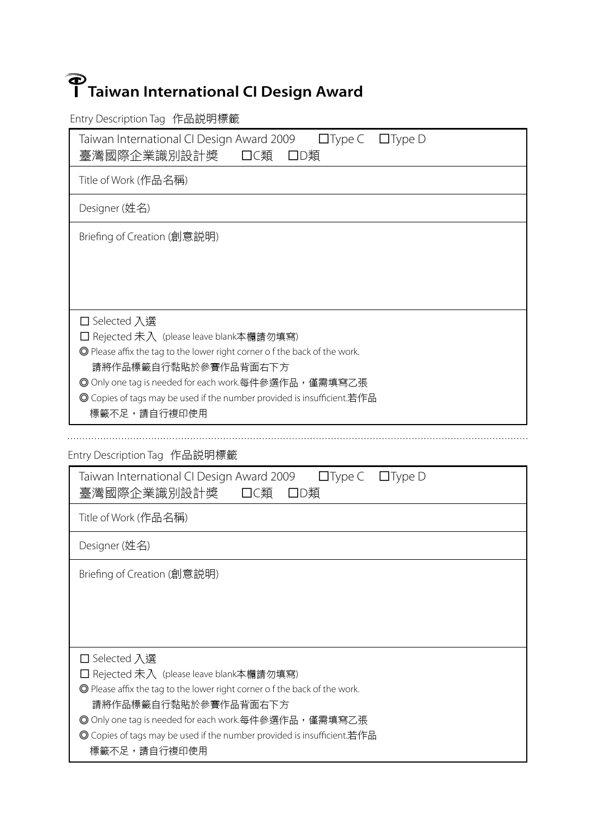# **Taiwan International CI Design Award**

Entry Description Tag 作品說明標籤

Taiwan International CI Design Award 2009 □Type C □Type D 臺灣國際企業識別設計獎 □C類 □D類

Title of Work (作品名稱)

Designer (姓名)

Briefing of Creation (創意說明)

□ Selected 入選

□ Rejected 未入 (please leave blank本欄請勿填寫)

◎ Please affix the tag to the lower right corner o f the back of the work.

請將作品標籤自行黏貼於參賽作品背面右下方

© Only one tag is needed for each work.每件參選作品,僅需填寫乙張

◎ Copies of tags may be used if the number provided is insufficient.若作品

標籤不足,請自行複印使用

Entry Description Tag 作品說明標籤

| Taiwan International CI Design Award 2009<br>$\Box$ Type $\Box$ Type D<br>臺灣國際企業識別設計獎<br>口C類<br>口D類                                                                                                                                                                                                               |
|-------------------------------------------------------------------------------------------------------------------------------------------------------------------------------------------------------------------------------------------------------------------------------------------------------------------|
| Title of Work (作品名稱)                                                                                                                                                                                                                                                                                              |
| Designer (姓名)                                                                                                                                                                                                                                                                                                     |
| Briefing of Creation (創意説明)                                                                                                                                                                                                                                                                                       |
| □ Selected 入選<br>□ Rejected 未入 (please leave blank本欄請勿填寫)<br>◎ Please affix the tag to the lower right corner of the back of the work.<br>請將作品標籤自行黏貼於參賽作品背面右下方<br>◎ Only one tag is needed for each work.每件參選作品,僅需填寫乙張<br>◎ Copies of tags may be used if the number provided is insufficient.若作品<br>標籤不足,請自行複印使用 |